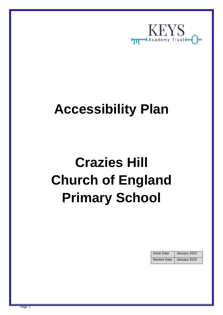

## **Accessibility Plan**

# **Crazies Hill Church of England Primary School**

| <b>Issue Date</b> | January 2022               |
|-------------------|----------------------------|
|                   | Review Date   January 2025 |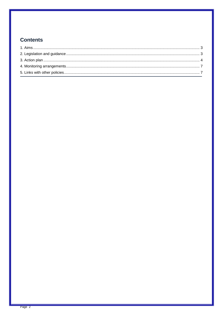### **Contents**

<span id="page-1-0"></span>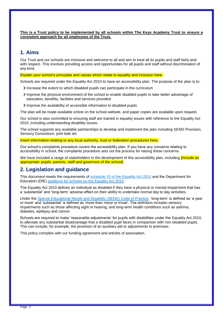#### **This is a Trust policy to be implemented by all schools within The Keys Academy Trust to ensure a consistent approach for all employees of the Trust.**

#### **1. Aims**

Our Trust and our schools are inclusive and welcome to all and aim to treat all its pupils and staff fairly and with respect. This involves providing access and opportunities for all pupils and staff without discrimination of any kind.

Explain your school's principles and values which relate to equality and inclusion here.

Schools are required under the Equality Act 2010 to have an accessibility plan. The purpose of the plan is to:

- Increase the extent to which disabled pupils can participate in the curriculum
- Improve the physical environment of the school to enable disabled pupils to take better advantage of education, benefits, facilities and services provided
- Improve the availability of accessible information to disabled pupils

The plan will be made available online on the school website, and paper copies are available upon request.

Our school is also committed to ensuring staff are trained in equality issues with reference to the Equality Act 2010, including understanding disability issues.

The school supports any available partnerships to develop and implement the plan including SEND Provision, Sensory Consortium, joint bids etc

Insert information relating to any local authority, trust or federation procedures here.

Our school's complaints procedure covers the accessibility plan. If you have any concerns relating to accessibility in school, the complaints procedure sets out the process for raising these concerns.

We have included a range of stakeholders in the development of this accessibility plan, including **[include as** appropriate: pupils, parents, staff and governors of the school].

#### <span id="page-2-0"></span>**2. Legislation and guidance**

This document meets the requirements of [schedule 10 of the Equality Act 2010](http://www.legislation.gov.uk/ukpga/2010/15/schedule/10) and the Department for Education (DfE) [guidance for schools on the Equality Act 2010.](https://www.gov.uk/government/publications/equality-act-2010-advice-for-schools)

The Equality Act 2010 defines an individual as disabled if they have a physical or mental impairment that has a 'substantial' and 'long-term' adverse effect on their ability to undertake normal day to day activities.

Under the [Special Educational Needs and Disability \(SEND\) Code of Practice,](https://www.gov.uk/government/publications/send-code-of-practice-0-to-25) 'long-term' is defined as 'a year or more' and 'substantial' is defined as 'more than minor or trivial'. The definition includes sensory impairments such as those affecting sight or hearing, and long-term health conditions such as asthma, diabetes, epilepsy and cancer.

Schools are required to make 'reasonable adjustments' for pupils with disabilities under the Equality Act 2010, to alleviate any substantial disadvantage that a disabled pupil faces in comparison with non-disabled pupils. This can include, for example, the provision of an auxiliary aid or adjustments to premises.

This policy complies with our funding agreement and articles of association.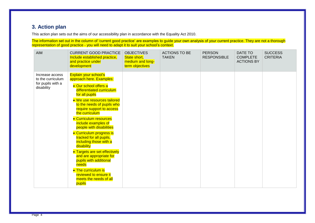#### **3. Action plan**

This action plan sets out the aims of our accessibility plan in accordance with the Equality Act 2010.

The information set out in the column of 'current good practice' are examples to guide your own analysis of your current practice. They are not a thorough representation of good practice - you will need to adapt it to suit your school's context.

<span id="page-3-0"></span>

| <b>AIM</b>                                                              | <b>CURRENT GOOD PRACTICE</b><br>Include established practice,<br>and practice under<br>development                                                                                                                                                                                                                                                                                                                                                                                                                                                                                                          | <b>OBJECTIVES</b><br>State short,<br>medium and long-<br>term objectives | <b>ACTIONS TO BE</b><br><b>TAKEN</b> | <b>PERSON</b><br><b>RESPONSIBLE</b> | DATE TO<br><b>COMPLETE</b><br><b>ACTIONS BY</b> | <b>SUCCESS</b><br><b>CRITERIA</b> |
|-------------------------------------------------------------------------|-------------------------------------------------------------------------------------------------------------------------------------------------------------------------------------------------------------------------------------------------------------------------------------------------------------------------------------------------------------------------------------------------------------------------------------------------------------------------------------------------------------------------------------------------------------------------------------------------------------|--------------------------------------------------------------------------|--------------------------------------|-------------------------------------|-------------------------------------------------|-----------------------------------|
| Increase access<br>to the curriculum<br>for pupils with a<br>disability | <b>Explain your school's</b><br>approach here. Examples:<br>• Our school offers a<br>differentiated curriculum<br>for all pupils<br>• We use resources tailored<br>to the needs of pupils who<br>require support to access<br>the curriculum<br>• Curriculum resources<br>include examples of<br>people with disabilities<br>• Curriculum progress is<br>tracked for all pupils,<br>including those with a<br>disability<br>• Targets are set effectively<br>and are appropriate for<br>pupils with additional<br>needs<br>• The curriculum is<br>reviewed to ensure it<br>meets the needs of all<br>pupils |                                                                          |                                      |                                     |                                                 |                                   |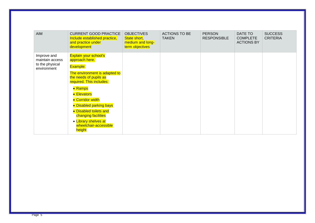| <b>AIM</b>                                                       | <b>CURRENT GOOD PRACTICE</b><br>Include established practice,<br>and practice under<br>development                        | <b>OBJECTIVES</b><br>State short,<br>medium and long-<br>term objectives | <b>ACTIONS TO BE</b><br><b>TAKEN</b> | <b>PERSON</b><br><b>RESPONSIBLE</b> | DATE TO<br><b>COMPLETE</b><br><b>ACTIONS BY</b> | <b>SUCCESS</b><br><b>CRITERIA</b> |
|------------------------------------------------------------------|---------------------------------------------------------------------------------------------------------------------------|--------------------------------------------------------------------------|--------------------------------------|-------------------------------------|-------------------------------------------------|-----------------------------------|
| Improve and<br>maintain access<br>to the physical<br>environment | <b>Explain your school's</b><br>approach here.<br>Example:                                                                |                                                                          |                                      |                                     |                                                 |                                   |
|                                                                  | The environment is adapted to<br>the needs of pupils as<br>required. This includes:                                       |                                                                          |                                      |                                     |                                                 |                                   |
|                                                                  | • Ramps<br>• Elevators<br>• Corridor width                                                                                |                                                                          |                                      |                                     |                                                 |                                   |
|                                                                  | • Disabled parking bays<br>• Disabled toilets and<br>changing facilities<br>• Library shelves at<br>wheelchair-accessible |                                                                          |                                      |                                     |                                                 |                                   |
|                                                                  | height                                                                                                                    |                                                                          |                                      |                                     |                                                 |                                   |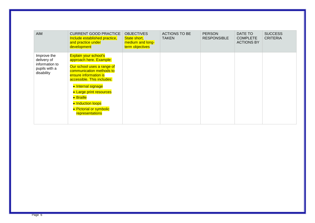| AIM                                                                         | <b>CURRENT GOOD PRACTICE</b><br>Include established practice,<br>and practice under<br>development                                                                                                                        | <b>OBJECTIVES</b><br>State short,<br>medium and long-<br>term objectives | <b>ACTIONS TO BE</b><br><b>TAKEN</b> | <b>PERSON</b><br><b>RESPONSIBLE</b> | DATE TO<br><b>COMPLETE</b><br><b>ACTIONS BY</b> | <b>SUCCESS</b><br><b>CRITERIA</b> |
|-----------------------------------------------------------------------------|---------------------------------------------------------------------------------------------------------------------------------------------------------------------------------------------------------------------------|--------------------------------------------------------------------------|--------------------------------------|-------------------------------------|-------------------------------------------------|-----------------------------------|
| Improve the<br>delivery of<br>information to<br>pupils with a<br>disability | <b>Explain your school's</b><br>approach here. Example:<br>Our school uses a range of<br>communication methods to<br>ensure information is<br>accessible. This includes:<br>• Internal signage<br>• Large print resources |                                                                          |                                      |                                     |                                                 |                                   |
|                                                                             | • Braille<br>• Induction loops<br>• Pictorial or symbolic<br>representations                                                                                                                                              |                                                                          |                                      |                                     |                                                 |                                   |